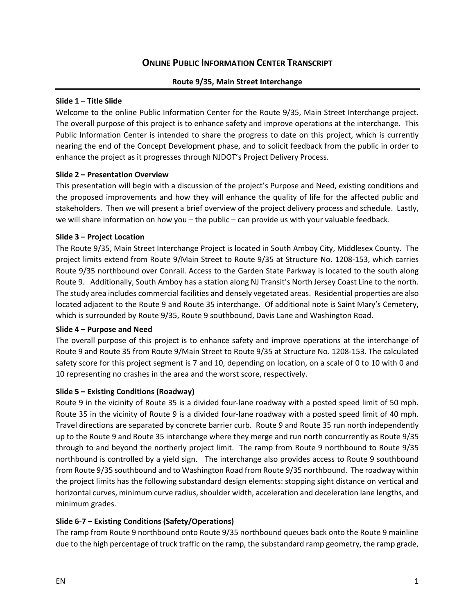# **ONLINE PUBLIC INFORMATION CENTER TRANSCRIPT**

#### **Route 9/35, Main Street Interchange**

#### **Slide 1 – Title Slide**

Welcome to the online Public Information Center for the Route 9/35, Main Street Interchange project. The overall purpose of this project is to enhance safety and improve operations at the interchange. This Public Information Center is intended to share the progress to date on this project, which is currently nearing the end of the Concept Development phase, and to solicit feedback from the public in order to enhance the project as it progresses through NJDOT's Project Delivery Process.

#### **Slide 2 – Presentation Overview**

This presentation will begin with a discussion of the project's Purpose and Need, existing conditions and the proposed improvements and how they will enhance the quality of life for the affected public and stakeholders. Then we will present a brief overview of the project delivery process and schedule. Lastly, we will share information on how you – the public – can provide us with your valuable feedback.

#### **Slide 3 – Project Location**

The Route 9/35, Main Street Interchange Project is located in South Amboy City, Middlesex County. The project limits extend from Route 9/Main Street to Route 9/35 at Structure No. 1208-153, which carries Route 9/35 northbound over Conrail. Access to the Garden State Parkway is located to the south along Route 9. Additionally, South Amboy has a station along NJ Transit's North Jersey Coast Line to the north. The study area includes commercial facilities and densely vegetated areas. Residential properties are also located adjacent to the Route 9 and Route 35 interchange. Of additional note is Saint Mary's Cemetery, which is surrounded by Route 9/35, Route 9 southbound, Davis Lane and Washington Road.

#### **Slide 4 – Purpose and Need**

The overall purpose of this project is to enhance safety and improve operations at the interchange of Route 9 and Route 35 from Route 9/Main Street to Route 9/35 at Structure No. 1208-153. The calculated safety score for this project segment is 7 and 10, depending on location, on a scale of 0 to 10 with 0 and 10 representing no crashes in the area and the worst score, respectively.

#### **Slide 5 – Existing Conditions (Roadway)**

Route 9 in the vicinity of Route 35 is a divided four-lane roadway with a posted speed limit of 50 mph. Route 35 in the vicinity of Route 9 is a divided four-lane roadway with a posted speed limit of 40 mph. Travel directions are separated by concrete barrier curb. Route 9 and Route 35 run north independently up to the Route 9 and Route 35 interchange where they merge and run north concurrently as Route 9/35 through to and beyond the northerly project limit. The ramp from Route 9 northbound to Route 9/35 northbound is controlled by a yield sign. The interchange also provides access to Route 9 southbound from Route 9/35 southbound and to Washington Road from Route 9/35 northbound. The roadway within the project limits has the following substandard design elements: stopping sight distance on vertical and horizontal curves, minimum curve radius, shoulder width, acceleration and deceleration lane lengths, and minimum grades.

#### **Slide 6-7 – Existing Conditions (Safety/Operations)**

The ramp from Route 9 northbound onto Route 9/35 northbound queues back onto the Route 9 mainline due to the high percentage of truck traffic on the ramp, the substandard ramp geometry, the ramp grade,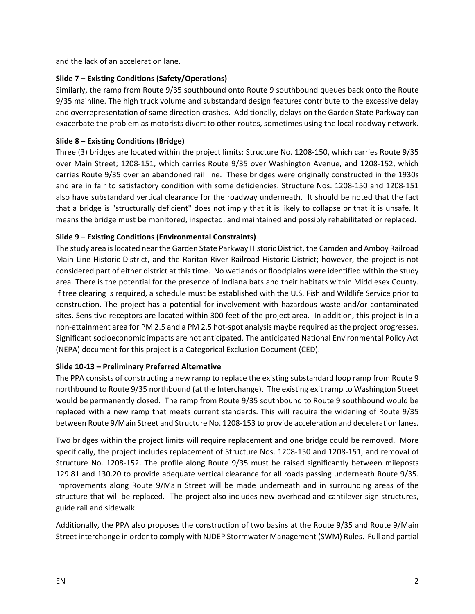and the lack of an acceleration lane.

### **Slide 7 – Existing Conditions (Safety/Operations)**

Similarly, the ramp from Route 9/35 southbound onto Route 9 southbound queues back onto the Route 9/35 mainline. The high truck volume and substandard design features contribute to the excessive delay and overrepresentation of same direction crashes. Additionally, delays on the Garden State Parkway can exacerbate the problem as motorists divert to other routes, sometimes using the local roadway network.

## **Slide 8 – Existing Conditions (Bridge)**

Three (3) bridges are located within the project limits: Structure No. 1208-150, which carries Route 9/35 over Main Street; 1208-151, which carries Route 9/35 over Washington Avenue, and 1208-152, which carries Route 9/35 over an abandoned rail line. These bridges were originally constructed in the 1930s and are in fair to satisfactory condition with some deficiencies. Structure Nos. 1208-150 and 1208-151 also have substandard vertical clearance for the roadway underneath. It should be noted that the fact that a bridge is "structurally deficient" does not imply that it is likely to collapse or that it is unsafe. It means the bridge must be monitored, inspected, and maintained and possibly rehabilitated or replaced.

## **Slide 9 – Existing Conditions (Environmental Constraints)**

The study area is located near the Garden State Parkway Historic District, the Camden and Amboy Railroad Main Line Historic District, and the Raritan River Railroad Historic District; however, the project is not considered part of either district at this time. No wetlands or floodplains were identified within the study area. There is the potential for the presence of Indiana bats and their habitats within Middlesex County. If tree clearing is required, a schedule must be established with the U.S. Fish and Wildlife Service prior to construction. The project has a potential for involvement with hazardous waste and/or contaminated sites. Sensitive receptors are located within 300 feet of the project area. In addition, this project is in a non-attainment area for PM 2.5 and a PM 2.5 hot-spot analysis maybe required as the project progresses. Significant socioeconomic impacts are not anticipated. The anticipated National Environmental Policy Act (NEPA) document for this project is a Categorical Exclusion Document (CED).

### **Slide 10-13 – Preliminary Preferred Alternative**

The PPA consists of constructing a new ramp to replace the existing substandard loop ramp from Route 9 northbound to Route 9/35 northbound (at the Interchange). The existing exit ramp to Washington Street would be permanently closed. The ramp from Route 9/35 southbound to Route 9 southbound would be replaced with a new ramp that meets current standards. This will require the widening of Route 9/35 between Route 9/Main Street and Structure No. 1208-153 to provide acceleration and deceleration lanes.

Two bridges within the project limits will require replacement and one bridge could be removed. More specifically, the project includes replacement of Structure Nos. 1208-150 and 1208-151, and removal of Structure No. 1208-152. The profile along Route 9/35 must be raised significantly between mileposts 129.81 and 130.20 to provide adequate vertical clearance for all roads passing underneath Route 9/35. Improvements along Route 9/Main Street will be made underneath and in surrounding areas of the structure that will be replaced. The project also includes new overhead and cantilever sign structures, guide rail and sidewalk.

Additionally, the PPA also proposes the construction of two basins at the Route 9/35 and Route 9/Main Street interchange in order to comply with NJDEP Stormwater Management (SWM) Rules. Full and partial